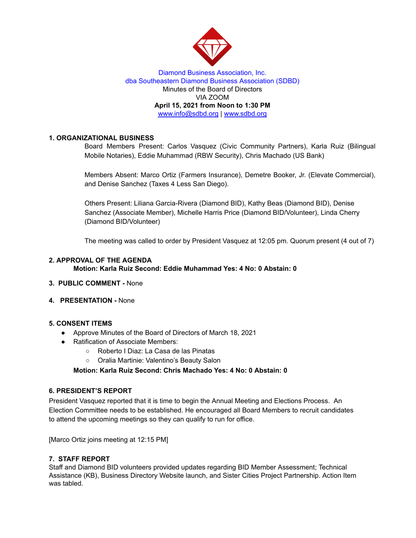

### Diamond Business Association, Inc. dba Southeastern Diamond Business Association (SDBD) Minutes of the Board of Directors VIA ZOOM **April 15, 2021 from Noon to 1:30 PM** www.info@sdbd.org | [www.sdbd.org](http://www.sdbd.org/)

# **1. ORGANIZATIONAL BUSINESS**

Board Members Present: Carlos Vasquez (Civic Community Partners), Karla Ruiz (Bilingual Mobile Notaries), Eddie Muhammad (RBW Security), Chris Machado (US Bank)

Members Absent: Marco Ortiz (Farmers Insurance), Demetre Booker, Jr. (Elevate Commercial), and Denise Sanchez (Taxes 4 Less San Diego).

Others Present: Liliana Garcia-Rivera (Diamond BID), Kathy Beas (Diamond BID), Denise Sanchez (Associate Member), Michelle Harris Price (Diamond BID/Volunteer), Linda Cherry (Diamond BID/Volunteer)

The meeting was called to order by President Vasquez at 12:05 pm. Quorum present (4 out of 7)

#### **2. APPROVAL OF THE AGENDA Motion: Karla Ruiz Second: Eddie Muhammad Yes: 4 No: 0 Abstain: 0**

- **3. PUBLIC COMMENT -** None
- **4. PRESENTATION -** None

# **5. CONSENT ITEMS**

- Approve Minutes of the Board of Directors of March 18, 2021
- Ratification of Associate Members:
	- Roberto I Diaz: La Casa de las Pinatas
	- Oralia Martinie: Valentino's Beauty Salon

**Motion: Karla Ruiz Second: Chris Machado Yes: 4 No: 0 Abstain: 0**

#### **6. PRESIDENT'S REPORT**

President Vasquez reported that it is time to begin the Annual Meeting and Elections Process. An Election Committee needs to be established. He encouraged all Board Members to recruit candidates to attend the upcoming meetings so they can qualify to run for office.

[Marco Ortiz joins meeting at 12:15 PM]

# **7. STAFF REPORT**

Staff and Diamond BID volunteers provided updates regarding BID Member Assessment; Technical Assistance (KB), Business Directory Website launch, and Sister Cities Project Partnership. Action Item was tabled.